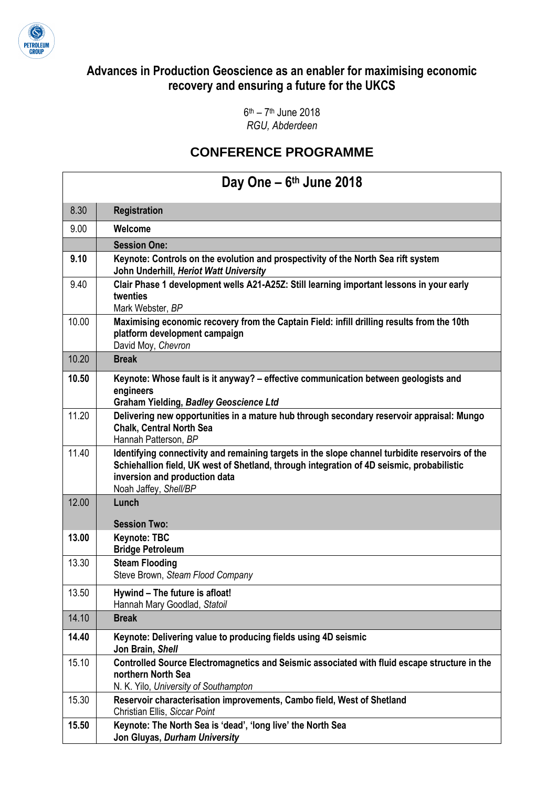

### **Advances in Production Geoscience as an enabler for maximising economic recovery and ensuring a future for the UKCS**

6<sup>th</sup> – 7<sup>th</sup> June 2018 *RGU, Abderdeen* 

### **CONFERENCE PROGRAMME**

### **Day One – 6 th June 2018**

| 8.30  | <b>Registration</b>                                                                                                                                                                                                                                    |
|-------|--------------------------------------------------------------------------------------------------------------------------------------------------------------------------------------------------------------------------------------------------------|
| 9.00  | Welcome                                                                                                                                                                                                                                                |
|       | <b>Session One:</b>                                                                                                                                                                                                                                    |
| 9.10  | Keynote: Controls on the evolution and prospectivity of the North Sea rift system<br>John Underhill, Heriot Watt University                                                                                                                            |
| 9.40  | Clair Phase 1 development wells A21-A25Z: Still learning important lessons in your early<br>twenties<br>Mark Webster, BP                                                                                                                               |
| 10.00 | Maximising economic recovery from the Captain Field: infill drilling results from the 10th<br>platform development campaign<br>David Moy, Chevron                                                                                                      |
| 10.20 | <b>Break</b>                                                                                                                                                                                                                                           |
| 10.50 | Keynote: Whose fault is it anyway? - effective communication between geologists and<br>engineers<br><b>Graham Yielding, Badley Geoscience Ltd</b>                                                                                                      |
| 11.20 | Delivering new opportunities in a mature hub through secondary reservoir appraisal: Mungo<br><b>Chalk, Central North Sea</b><br>Hannah Patterson, BP                                                                                                   |
| 11.40 | Identifying connectivity and remaining targets in the slope channel turbidite reservoirs of the<br>Schiehallion field, UK west of Shetland, through integration of 4D seismic, probabilistic<br>inversion and production data<br>Noah Jaffey, Shell/BP |
| 12.00 | Lunch                                                                                                                                                                                                                                                  |
|       | <b>Session Two:</b>                                                                                                                                                                                                                                    |
| 13.00 | <b>Keynote: TBC</b><br><b>Bridge Petroleum</b>                                                                                                                                                                                                         |
| 13.30 | <b>Steam Flooding</b><br>Steve Brown, Steam Flood Company                                                                                                                                                                                              |
| 13.50 | Hywind - The future is afloat!<br>Hannah Mary Goodlad, Statoil                                                                                                                                                                                         |
| 14.10 | <b>Break</b>                                                                                                                                                                                                                                           |
| 14.40 | Keynote: Delivering value to producing fields using 4D seismic<br>Jon Brain, Shell                                                                                                                                                                     |
| 15.10 | Controlled Source Electromagnetics and Seismic associated with fluid escape structure in the<br>northern North Sea<br>N. K. Yilo, University of Southampton                                                                                            |
| 15.30 | Reservoir characterisation improvements, Cambo field, West of Shetland<br>Christian Ellis, Siccar Point                                                                                                                                                |
| 15.50 | Keynote: The North Sea is 'dead', 'long live' the North Sea<br>Jon Gluyas, Durham University                                                                                                                                                           |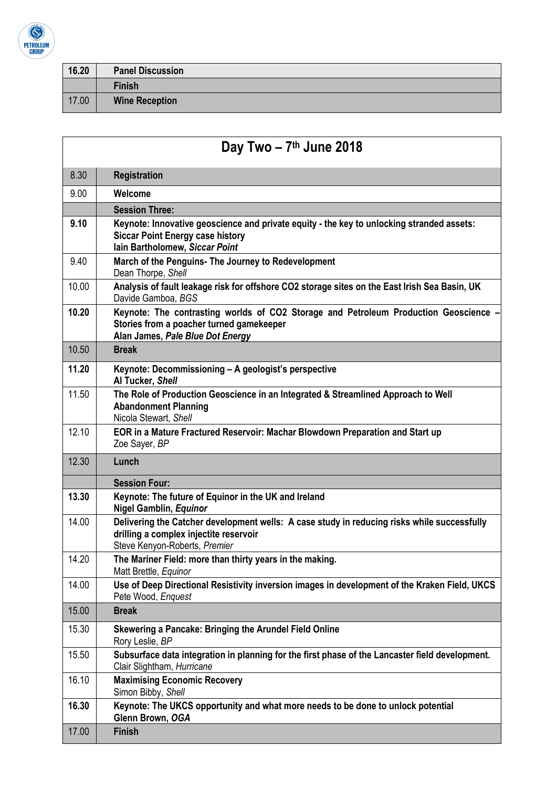

 $\overline{1}$ 

| 16.20 | <b>Panel Discussion</b> |
|-------|-------------------------|
|       | <b>Finish</b>           |
| 17.00 | <b>Wine Reception</b>   |

| Day Two $-7$ <sup>th</sup> June 2018 |                                                                                                                                                                        |
|--------------------------------------|------------------------------------------------------------------------------------------------------------------------------------------------------------------------|
| 8.30                                 | <b>Registration</b>                                                                                                                                                    |
| 9.00                                 | Welcome                                                                                                                                                                |
|                                      | <b>Session Three:</b>                                                                                                                                                  |
| 9.10                                 | Keynote: Innovative geoscience and private equity - the key to unlocking stranded assets:<br><b>Siccar Point Energy case history</b><br>lain Bartholomew, Siccar Point |
| 9.40                                 | March of the Penguins- The Journey to Redevelopment<br>Dean Thorpe, Shell                                                                                              |
| 10.00                                | Analysis of fault leakage risk for offshore CO2 storage sites on the East Irish Sea Basin, UK<br>Davide Gamboa, BGS                                                    |
| 10.20                                | Keynote: The contrasting worlds of CO2 Storage and Petroleum Production Geoscience<br>Stories from a poacher turned gamekeeper<br>Alan James, Pale Blue Dot Energy     |
| 10.50                                | <b>Break</b>                                                                                                                                                           |
| 11.20                                | Keynote: Decommissioning - A geologist's perspective<br>Al Tucker, Shell                                                                                               |
| 11.50                                | The Role of Production Geoscience in an Integrated & Streamlined Approach to Well<br><b>Abandonment Planning</b><br>Nicola Stewart, Shell                              |
| 12.10                                | EOR in a Mature Fractured Reservoir: Machar Blowdown Preparation and Start up<br>Zoe Sayer, BP                                                                         |
| 12.30                                | Lunch                                                                                                                                                                  |
|                                      | <b>Session Four:</b>                                                                                                                                                   |
| 13.30                                | Keynote: The future of Equinor in the UK and Ireland<br><b>Nigel Gamblin, Equinor</b>                                                                                  |
| 14.00                                | Delivering the Catcher development wells: A case study in reducing risks while successfully<br>drilling a complex injectite reservoir<br>Steve Kenyon-Roberts, Premier |
| 14.20                                | The Mariner Field: more than thirty years in the making.<br>Matt Brettle, Equinor                                                                                      |
| 14.00                                | Use of Deep Directional Resistivity inversion images in development of the Kraken Field, UKCS<br>Pete Wood, Enquest                                                    |
| 15.00                                | <b>Break</b>                                                                                                                                                           |
| 15.30                                | Skewering a Pancake: Bringing the Arundel Field Online<br>Rory Leslie, BP                                                                                              |
| 15.50                                | Subsurface data integration in planning for the first phase of the Lancaster field development.<br>Clair Slightham, Hurricane                                          |
| 16.10                                | <b>Maximising Economic Recovery</b><br>Simon Bibby, Shell                                                                                                              |
| 16.30                                | Keynote: The UKCS opportunity and what more needs to be done to unlock potential<br>Glenn Brown, OGA                                                                   |
| 17.00                                | <b>Finish</b>                                                                                                                                                          |